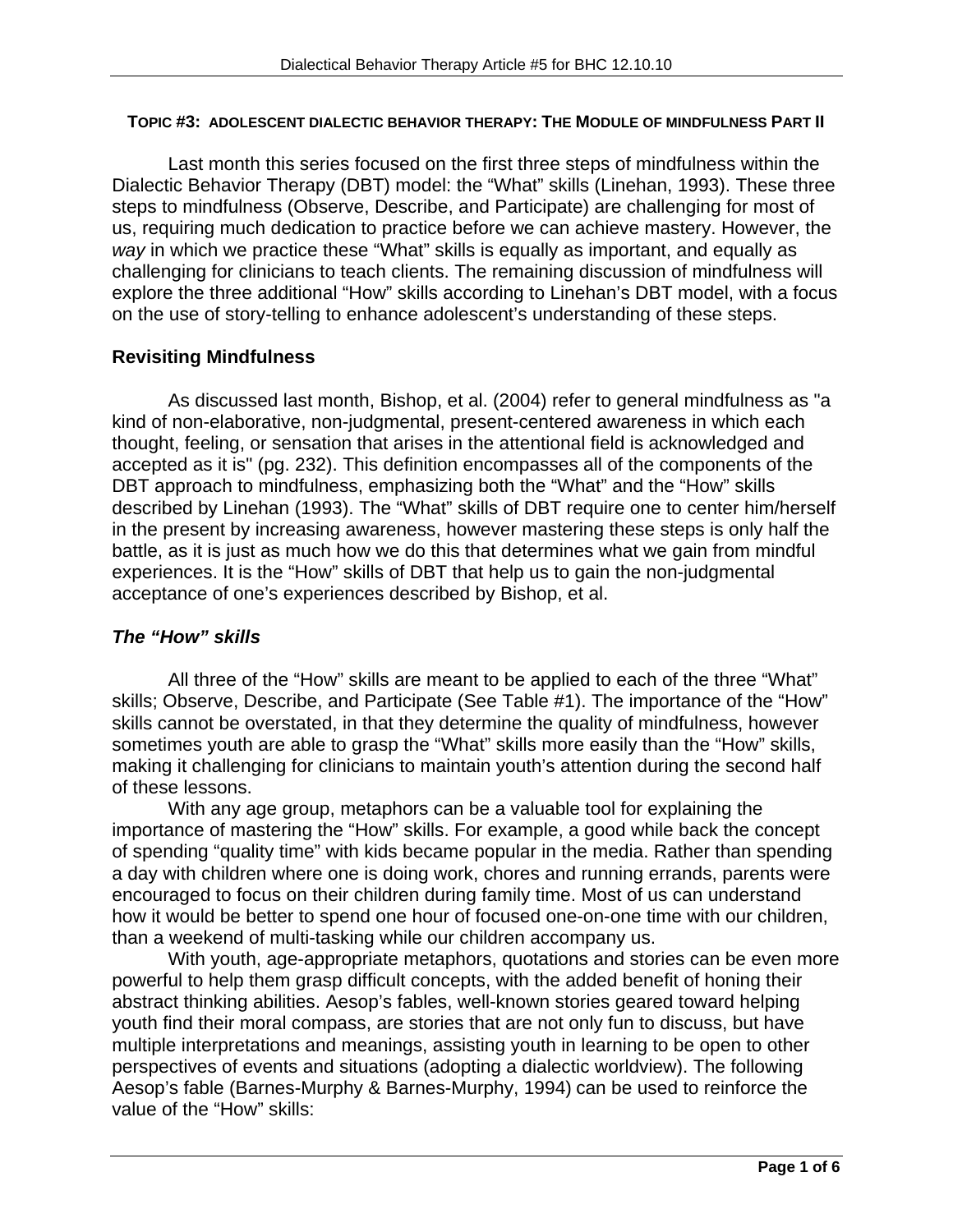#### **TOPIC #3: ADOLESCENT DIALECTIC BEHAVIOR THERAPY: THE MODULE OF MINDFULNESS PART II**

Last month this series focused on the first three steps of mindfulness within the Dialectic Behavior Therapy (DBT) model: the "What" skills (Linehan, 1993). These three steps to mindfulness (Observe, Describe, and Participate) are challenging for most of us, requiring much dedication to practice before we can achieve mastery. However, the *way* in which we practice these "What" skills is equally as important, and equally as challenging for clinicians to teach clients. The remaining discussion of mindfulness will explore the three additional "How" skills according to Linehan's DBT model, with a focus on the use of story-telling to enhance adolescent's understanding of these steps.

# **Revisiting Mindfulness**

As discussed last month, Bishop, et al. (2004) refer to general mindfulness as "a kind of non-elaborative, non-judgmental, present-centered awareness in which each thought, feeling, or sensation that arises in the attentional field is acknowledged and accepted as it is" (pg. 232). This definition encompasses all of the components of the DBT approach to mindfulness, emphasizing both the "What" and the "How" skills described by Linehan (1993). The "What" skills of DBT require one to center him/herself in the present by increasing awareness, however mastering these steps is only half the battle, as it is just as much how we do this that determines what we gain from mindful experiences. It is the "How" skills of DBT that help us to gain the non-judgmental acceptance of one's experiences described by Bishop, et al.

# *The "How" skills*

All three of the "How" skills are meant to be applied to each of the three "What" skills; Observe, Describe, and Participate (See Table #1). The importance of the "How" skills cannot be overstated, in that they determine the quality of mindfulness, however sometimes youth are able to grasp the "What" skills more easily than the "How" skills, making it challenging for clinicians to maintain youth's attention during the second half of these lessons.

With any age group, metaphors can be a valuable tool for explaining the importance of mastering the "How" skills. For example, a good while back the concept of spending "quality time" with kids became popular in the media. Rather than spending a day with children where one is doing work, chores and running errands, parents were encouraged to focus on their children during family time. Most of us can understand how it would be better to spend one hour of focused one-on-one time with our children, than a weekend of multi-tasking while our children accompany us.

With youth, age-appropriate metaphors, quotations and stories can be even more powerful to help them grasp difficult concepts, with the added benefit of honing their abstract thinking abilities. Aesop's fables, well-known stories geared toward helping youth find their moral compass, are stories that are not only fun to discuss, but have multiple interpretations and meanings, assisting youth in learning to be open to other perspectives of events and situations (adopting a dialectic worldview). The following Aesop's fable (Barnes-Murphy & Barnes-Murphy, 1994) can be used to reinforce the value of the "How" skills: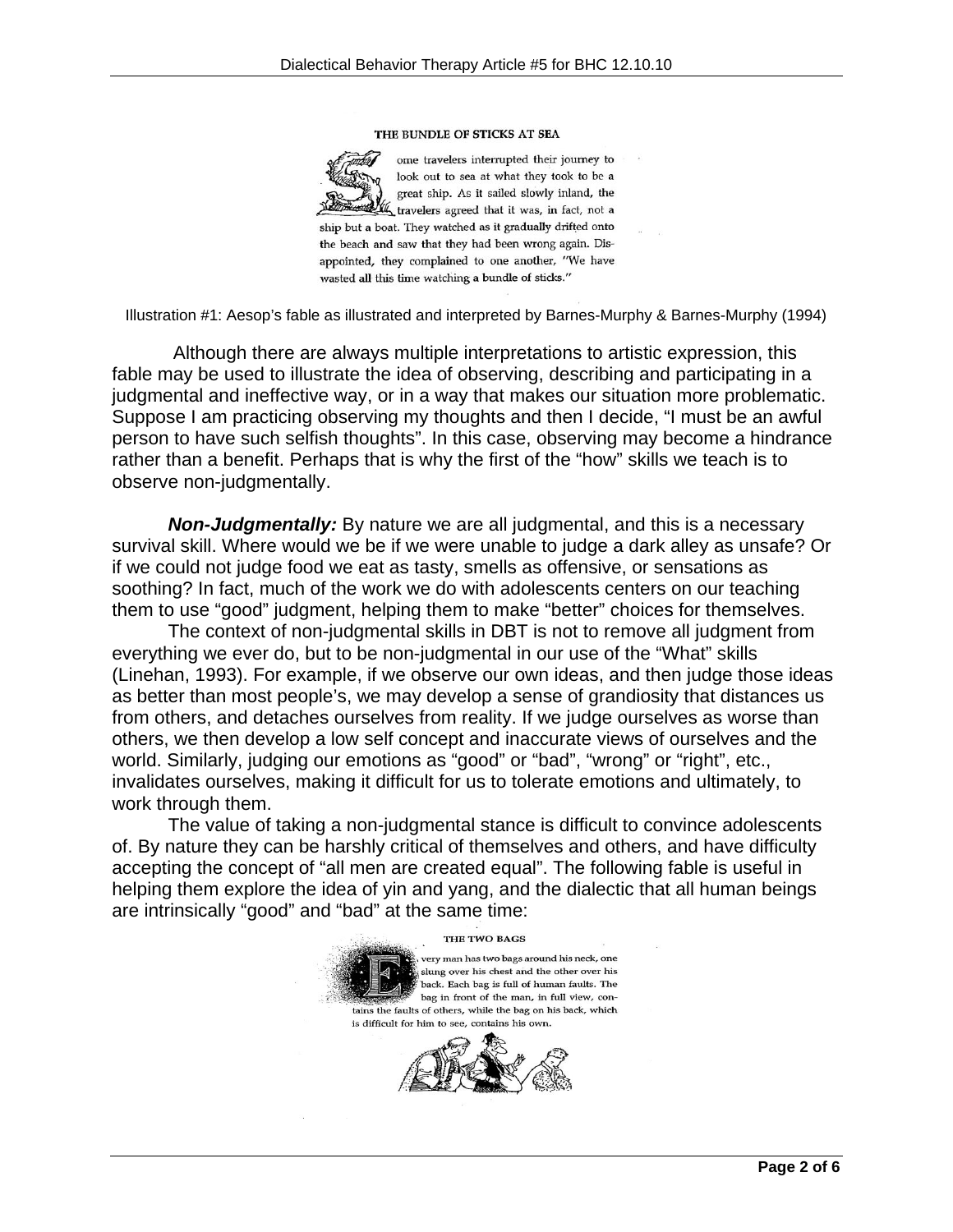#### THE BUNDLE OF STICKS AT SEA

ome travelers interrupted their journey to look out to sea at what they took to be a great ship. As it sailed slowly inland, the the travelers agreed that it was, in fact, not a ship but a boat. They watched as it gradually drifted onto the beach and saw that they had been wrong again. Disappointed, they complained to one another, "We have wasted all this time watching a bundle of sticks."

Illustration #1: Aesop's fable as illustrated and interpreted by Barnes-Murphy & Barnes-Murphy (1994)

 Although there are always multiple interpretations to artistic expression, this fable may be used to illustrate the idea of observing, describing and participating in a judgmental and ineffective way, or in a way that makes our situation more problematic. Suppose I am practicing observing my thoughts and then I decide, "I must be an awful person to have such selfish thoughts". In this case, observing may become a hindrance rather than a benefit. Perhaps that is why the first of the "how" skills we teach is to observe non-judgmentally.

*Non-Judgmentally:* By nature we are all judgmental, and this is a necessary survival skill. Where would we be if we were unable to judge a dark alley as unsafe? Or if we could not judge food we eat as tasty, smells as offensive, or sensations as soothing? In fact, much of the work we do with adolescents centers on our teaching them to use "good" judgment, helping them to make "better" choices for themselves.

 The context of non-judgmental skills in DBT is not to remove all judgment from everything we ever do, but to be non-judgmental in our use of the "What" skills (Linehan, 1993). For example, if we observe our own ideas, and then judge those ideas as better than most people's, we may develop a sense of grandiosity that distances us from others, and detaches ourselves from reality. If we judge ourselves as worse than others, we then develop a low self concept and inaccurate views of ourselves and the world. Similarly, judging our emotions as "good" or "bad", "wrong" or "right", etc., invalidates ourselves, making it difficult for us to tolerate emotions and ultimately, to work through them.

 The value of taking a non-judgmental stance is difficult to convince adolescents of. By nature they can be harshly critical of themselves and others, and have difficulty accepting the concept of "all men are created equal". The following fable is useful in helping them explore the idea of yin and yang, and the dialectic that all human beings are intrinsically "good" and "bad" at the same time:

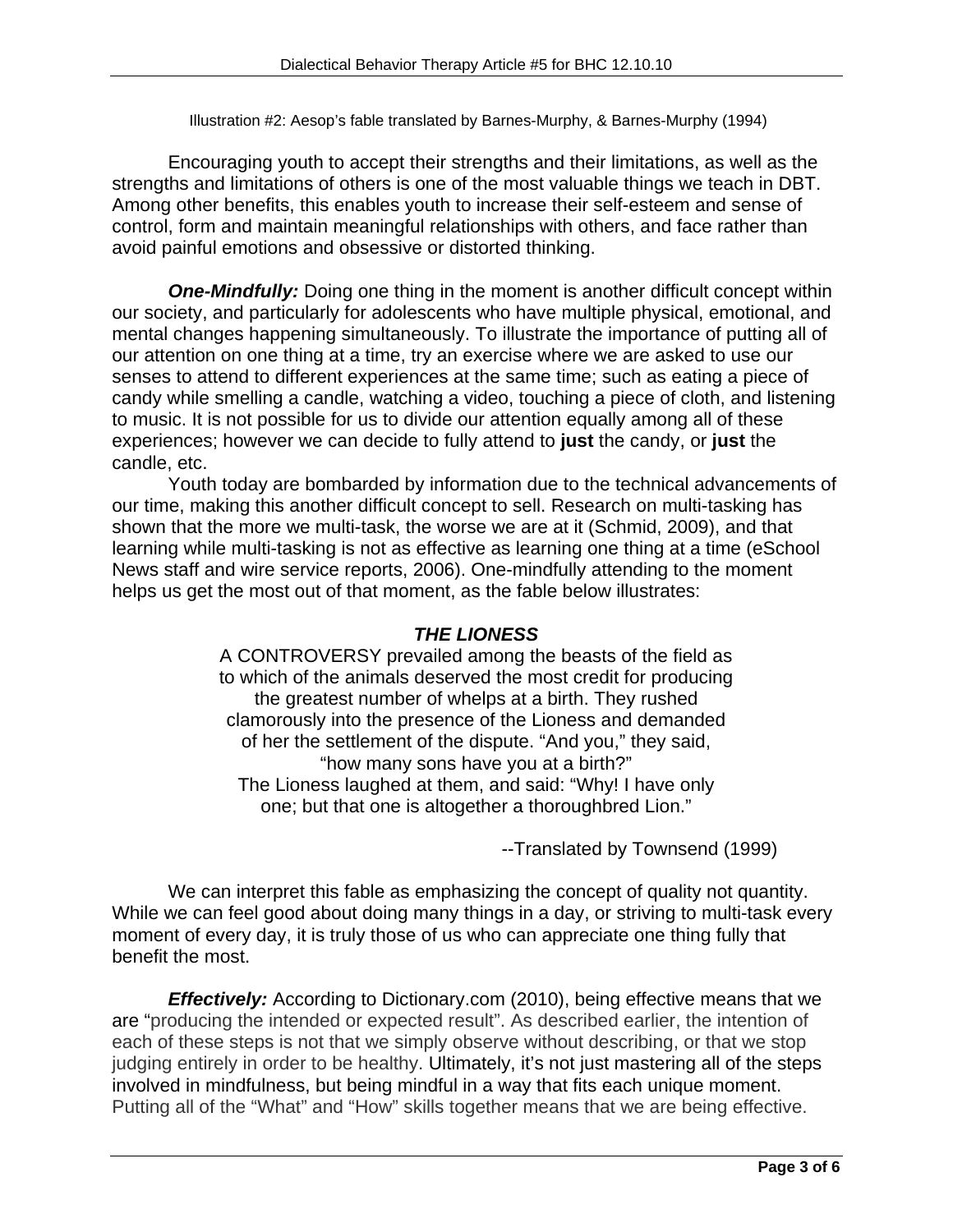Illustration #2: Aesop's fable translated by Barnes-Murphy, & Barnes-Murphy (1994)

Encouraging youth to accept their strengths and their limitations, as well as the strengths and limitations of others is one of the most valuable things we teach in DBT. Among other benefits, this enables youth to increase their self-esteem and sense of control, form and maintain meaningful relationships with others, and face rather than avoid painful emotions and obsessive or distorted thinking.

**One-Mindfully:** Doing one thing in the moment is another difficult concept within our society, and particularly for adolescents who have multiple physical, emotional, and mental changes happening simultaneously. To illustrate the importance of putting all of our attention on one thing at a time, try an exercise where we are asked to use our senses to attend to different experiences at the same time; such as eating a piece of candy while smelling a candle, watching a video, touching a piece of cloth, and listening to music. It is not possible for us to divide our attention equally among all of these experiences; however we can decide to fully attend to **just** the candy, or **just** the candle, etc.

 Youth today are bombarded by information due to the technical advancements of our time, making this another difficult concept to sell. Research on multi-tasking has shown that the more we multi-task, the worse we are at it (Schmid, 2009), and that learning while multi-tasking is not as effective as learning one thing at a time (eSchool News staff and wire service reports, 2006). One-mindfully attending to the moment helps us get the most out of that moment, as the fable below illustrates:

# *THE LIONESS*

A CONTROVERSY prevailed among the beasts of the field as to which of the animals deserved the most credit for producing the greatest number of whelps at a birth. They rushed clamorously into the presence of the Lioness and demanded of her the settlement of the dispute. "And you," they said, "how many sons have you at a birth?" The Lioness laughed at them, and said: "Why! I have only one; but that one is altogether a thoroughbred Lion."

--Translated by Townsend (1999)

We can interpret this fable as emphasizing the concept of quality not quantity. While we can feel good about doing many things in a day, or striving to multi-task every moment of every day, it is truly those of us who can appreciate one thing fully that benefit the most.

*Effectively:* According to Dictionary.com (2010), being effective means that we are "producing the intended or expected result". As described earlier, the intention of each of these steps is not that we simply observe without describing, or that we stop judging entirely in order to be healthy. Ultimately, it's not just mastering all of the steps involved in mindfulness, but being mindful in a way that fits each unique moment. Putting all of the "What" and "How" skills together means that we are being effective.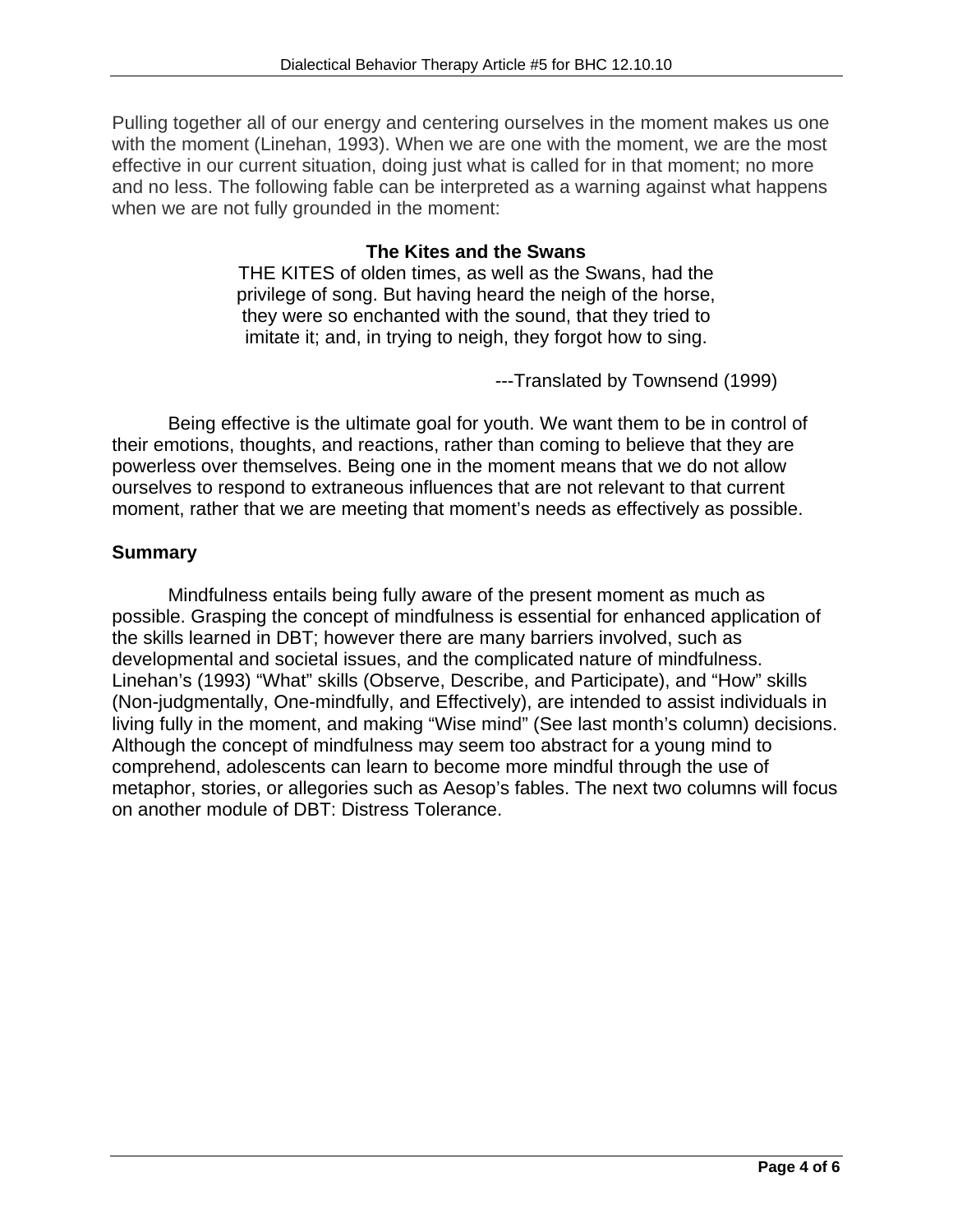Pulling together all of our energy and centering ourselves in the moment makes us one with the moment (Linehan, 1993). When we are one with the moment, we are the most effective in our current situation, doing just what is called for in that moment; no more and no less. The following fable can be interpreted as a warning against what happens when we are not fully grounded in the moment:

# **The Kites and the Swans**

THE KITES of olden times, as well as the Swans, had the privilege of song. But having heard the neigh of the horse, they were so enchanted with the sound, that they tried to imitate it; and, in trying to neigh, they forgot how to sing.

---Translated by Townsend (1999)

Being effective is the ultimate goal for youth. We want them to be in control of their emotions, thoughts, and reactions, rather than coming to believe that they are powerless over themselves. Being one in the moment means that we do not allow ourselves to respond to extraneous influences that are not relevant to that current moment, rather that we are meeting that moment's needs as effectively as possible.

# **Summary**

Mindfulness entails being fully aware of the present moment as much as possible. Grasping the concept of mindfulness is essential for enhanced application of the skills learned in DBT; however there are many barriers involved, such as developmental and societal issues, and the complicated nature of mindfulness. Linehan's (1993) "What" skills (Observe, Describe, and Participate), and "How" skills (Non-judgmentally, One-mindfully, and Effectively), are intended to assist individuals in living fully in the moment, and making "Wise mind" (See last month's column) decisions. Although the concept of mindfulness may seem too abstract for a young mind to comprehend, adolescents can learn to become more mindful through the use of metaphor, stories, or allegories such as Aesop's fables. The next two columns will focus on another module of DBT: Distress Tolerance.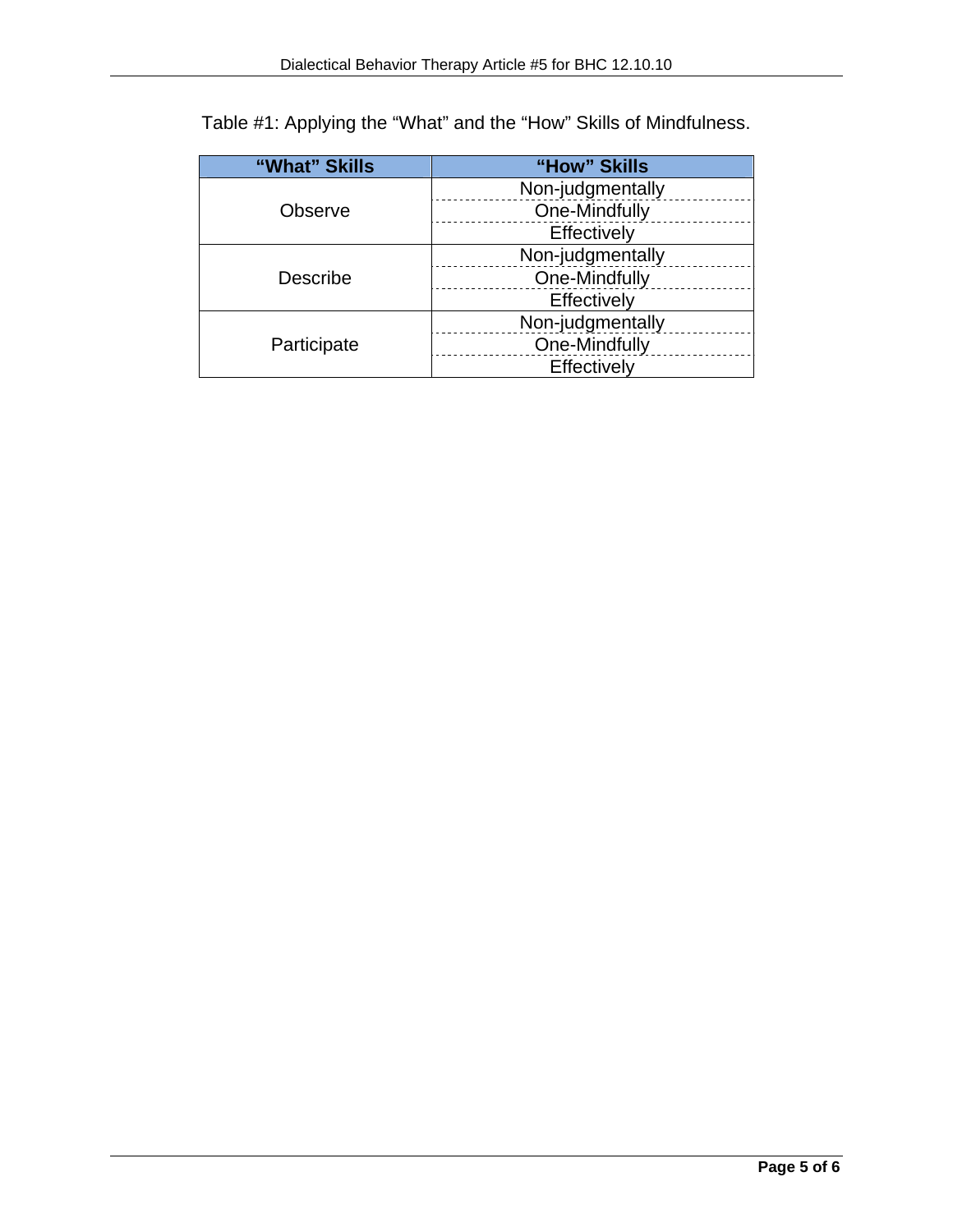| "What" Skills | "How" Skills     |
|---------------|------------------|
| Observe       | Non-judgmentally |
|               | One-Mindfully    |
|               | Effectively      |
| Describe      | Non-judgmentally |
|               | One-Mindfully    |
|               | Effectively      |
| Participate   | Non-judgmentally |
|               | One-Mindfully    |
|               | Effectively      |

Table #1: Applying the "What" and the "How" Skills of Mindfulness.